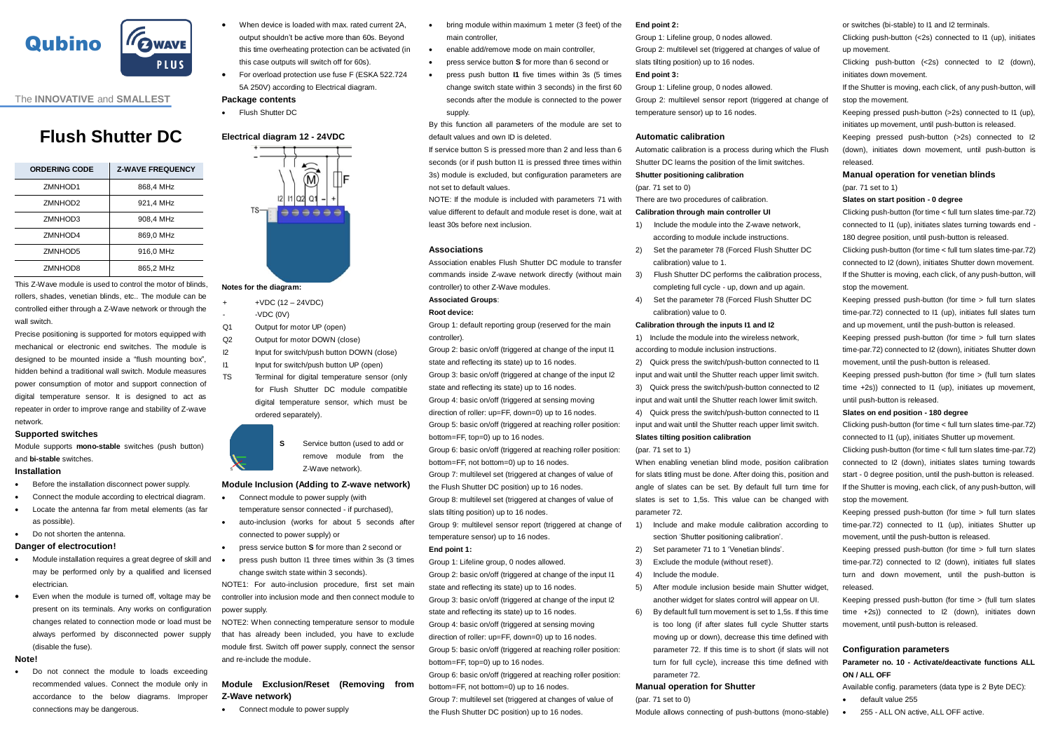

The **INNOVATIVE** and **SMALLEST** 

# **Flush Shutter DC**

| <b>ORDERING CODE</b> | <b>Z-WAVE FREQUENCY</b> |
|----------------------|-------------------------|
| ZMNHOD1              | 868.4 MHz               |
| ZMNHOD <sub>2</sub>  | 921.4 MHz               |
| ZMNHOD3              | 908.4 MHz               |
| ZMNHOD4              | 869.0 MHz               |
| ZMNHOD5              | 916.0 MHz               |
| ZMNHOD8              | 865.2 MHz               |

This Z-Wave module is used to control the motor of blinds, rollers, shades, venetian blinds, etc.. The module can be controlled either through a Z-Wave network or through the wall switch.

Precise positioning is supported for motors equipped with mechanical or electronic end switches. The module is designed to be mounted inside a "flush mounting box", hidden behind a traditional wall switch. Module measures power consumption of motor and support connection of digital temperature sensor. It is designed to act as repeater in order to improve range and stability of Z-wave network.

## **Supported switches**

Module supports **mono-stable** switches (push button) and **bi-stable** switches.

## **Installation**

- Before the installation disconnect power supply.
- Connect the module according to electrical diagram.
- Locate the antenna far from metal elements (as far as possible).
- Do not shorten the antenna.

## **Danger of electrocution!**

- Module installation requires a great degree of skill and may be performed only by a qualified and licensed electrician.
- Even when the module is turned off, voltage may be present on its terminals. Any works on configuration changes related to connection mode or load must be always performed by disconnected power supply (disable the fuse).

## **Note!**

 Do not connect the module to loads exceeding recommended values. Connect the module only in accordance to the below diagrams. Improper connections may be dangerous.

- When device is loaded with max, rated current 2A output shouldn't be active more than 60s. Beyond this time overheating protection can be activated (in this case outputs will switch off for 60s).
- For overload protection use fuse F (ESKA 522.724 5A 250V) according to Electrical diagram.

## **Package contents**

**•** Flush Shutter DC

## **Electrical diagram 12 - 24VDC**

 $\widehat{\widehat{\mathbb{R}}}$ <del>. . . . . .</del>

## **Notes for the diagram:**

- + +VDC (12 24VDC)
- -VDC (0V)
- Q1 Output for motor UP (open)
- Q2 Output for motor DOWN (close)
- I2 Input for switch/push button DOWN (close)
- I1 Input for switch/push button UP (open) TS Terminal for digital temperature sensor (only for Flush Shutter DC module compatible digital temperature sensor, which must be ordered separately).

**S** Service button (used to add or remove module from the Z-Wave network).

## **Module Inclusion (Adding to Z-wave network)**

- Connect module to power supply (with
- temperature sensor connected if purchased), auto-inclusion (works for about 5 seconds after
- connected to power supply) or press service button **S** for more than 2 second or
- press push button I1 three times within 3s (3 times
- change switch state within 3 seconds). NOTE1: For auto-inclusion procedure, first set main controller into inclusion mode and then connect module to

power supply. NOTE2: When connecting temperature sensor to module

that has already been included, you have to exclude module first. Switch off power supply, connect the sensor and re-include the module.

## **Module Exclusion/Reset (Removing from Z-Wave network)**

Connect module to power supply

- bring module within maximum 1 meter (3 feet) of the main controller
- enable add/remove mode on main controller,
- press service button **S** for more than 6 second or
- press push button **I1** five times within 3s (5 times change switch state within 3 seconds) in the first 60 seconds after the module is connected to the power supply.
- By this function all parameters of the module are set to default values and own ID is deleted.
- If service button S is pressed more than 2 and less than 6 seconds (or if push button I1 is pressed three times within 3s) module is excluded, but configuration parameters are not set to default values.

NOTE: If the module is included with parameters 71 with value different to default and module reset is done, wait at least 30s before next inclusion.

## **Associations**

Association enables Flush Shutter DC module to transfer commands inside Z-wave network directly (without main controller) to other Z-Wave modules.

## **Associated Groups**:

## **Root device:**

Group 1: default reporting group (reserved for the main controller).

Group 2: basic on/off (triggered at change of the input I1 state and reflecting its state) up to 16 nodes. Group 3: basic on/off (triggered at change of the input I2 state and reflecting its state) up to 16 nodes. Group 4: basic on/off (triggered at sensing moving direction of roller: up=FF, down=0) up to 16 nodes. Group 5: basic on/off (triggered at reaching roller position: bottom=FF, top=0) up to 16 nodes. Group 6: basic on/off (triggered at reaching roller position: bottom=FF, not bottom=0) up to 16 nodes. Group 7: multilevel set (triggered at changes of value of

the Flush Shutter DC position) up to 16 nodes. Group 8: multilevel set (triggered at changes of value of

slats tilting position) up to 16 nodes. Group 9: multilevel sensor report (triggered at change of temperature sensor) up to 16 nodes.

### **End point 1:**

Group 1: Lifeline group, 0 nodes allowed. Group 2: basic on/off (triggered at change of the input I1 state and reflecting its state) up to 16 nodes. Group 3: basic on/off (triggered at change of the input I2 state and reflecting its state) up to 16 nodes. Group 4: basic on/off (triggered at sensing moving direction of roller: up=FF, down=0) up to 16 nodes. Group 5: basic on/off (triggered at reaching roller position: bottom=FF, top=0) up to 16 nodes. Group 6: basic on/off (triggered at reaching roller position:

bottom=FF, not bottom=0) up to 16 nodes. Group 7: multilevel set (triggered at changes of value of the Flush Shutter DC position) up to 16 nodes.

## **End point 2:**

Group 1: Lifeline group, 0 nodes allowed. Group 2: multilevel set (triggered at changes of value of slats tilting position) up to 16 nodes.

## **End point 3:**

Group 1: Lifeline group, 0 nodes allowed. Group 2: multilevel sensor report (triggered at change of temperature sensor) up to 16 nodes.

### **Automatic calibration**

Automatic calibration is a process during which the Flush Shutter DC learns the position of the limit switches.

## **Shutter positioning calibration**

## (par. 71 set to 0)

There are two procedures of calibration.

## **Calibration through main controller UI**

- 1) Include the module into the Z-wave network, according to module include instructions.
- 2) Set the parameter 78 (Forced Flush Shutter DC calibration) value to 1.
- 3) Flush Shutter DC performs the calibration process, completing full cycle - up, down and up again.
- Set the parameter 78 (Forced Flush Shutter DC calibration) value to 0.

## **Calibration through the inputs I1 and I2**

1) Include the module into the wireless network, according to module inclusion instructions.

2) Quick press the switch/push-button connected to I1 input and wait until the Shutter reach upper limit switch. 3) Quick press the switch/push-button connected to I2 input and wait until the Shutter reach lower limit switch. 4) Quick press the switch/push-button connected to I1 input and wait until the Shutter reach upper limit switch.

## **Slates tilting position calibration**

(par. 71 set to 1)

When enabling venetian blind mode, position calibration for slats titling must be done. After doing this, position and angle of slates can be set. By default full turn time for slates is set to 1,5s. This value can be changed with parameter 72.

- 1) Include and make module calibration according to section 'Shutter positioning calibration'.
- 2) Set parameter 71 to 1 'Venetian blinds'.
- 3) Exclude the module (without reset!).
- 4) Include the module.
- After module inclusion beside main Shutter widget, another widget for slates control will appear on UI.
- 6) By default full turn movement is set to 1,5s. If this time is too long (if after slates full cycle Shutter starts moving up or down), decrease this time defined with parameter 72. If this time is to short (if slats will not turn for full cycle), increase this time defined with parameter 72.

## **Manual operation for Shutter** (par. 71 set to 0)

Module allows connecting of push-buttons (mono-stable)

or switches (bi-stable) to I1 and I2 terminals.

Clicking push-button (<2s) connected to I1 (up), initiates up movement.

Clicking push-button (<2s) connected to I2 (down), initiates down movement.

If the Shutter is moving, each click, of any push-button, will stop the movement.

Keeping pressed push-button (>2s) connected to I1 (up), initiates up movement, until push-button is released.

Keeping pressed push-button (>2s) connected to I2 (down), initiates down movement, until push-button is released.

## **Manual operation for venetian blinds**  (par. 71 set to 1)

## **Slates on start position - 0 degree**

Clicking push-button (for time < full turn slates time-par.72) connected to I1 (up), initiates slates turning towards end - 180 degree position, until push-button is released.

Clicking push-button (for time < full turn slates time-par.72) connected to I2 (down), initiates Shutter down movement. If the Shutter is moving, each click, of any push-button, will stop the movement.

Keeping pressed push-button (for time > full turn slates time-par.72) connected to I1 (up), initiates full slates turn and up movement, until the push-button is released. Keeping pressed push-button (for time > full turn slates time-par.72) connected to I2 (down), initiates Shutter down movement, until the push-button is released.

Keeping pressed push-button (for time > (full turn slates time +2s)) connected to I1 (up), initiates up movement until push-button is released.

Clicking push-button (for time < full turn slates time-par.72) connected to I1 (up), initiates Shutter up movement. Clicking push-button (for time < full turn slates time-par.72) connected to I2 (down), initiates slates turning towards start - 0 degree position, until the push-button is released. If the Shutter is moving, each click, of any push-button, will

Keeping pressed push-button (for time > full turn slates time-par.72) connected to I1 (up), initiates Shutter up

Keeping pressed push-button (for time > full turn slates time-par.72) connected to I2 (down), initiates full slates turn and down movement, until the push-button is

Keeping pressed push-button (for time > (full turn slates time +2s)) connected to I2 (down), initiates down

**Parameter no. 10 - Activate/deactivate functions ALL** 

Available config. parameters (data type is 2 Byte DEC):

255 - ALL ON active, ALL OFF active

movement, until the push-button is released.

movement, until push-button is released.

**Configuration parameters**

default value 255

**Slates on end position - 180 degree**

stop the movement.

released.

**ON / ALL OFF**